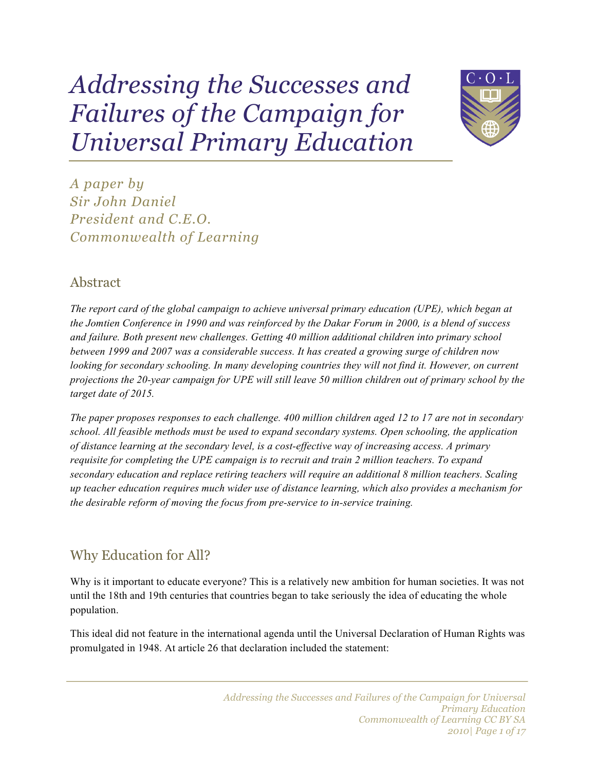*Addressing the Successes and Failures of the Campaign for Universal Primary Education*



*A paper by Sir John Daniel President and C.E.O. Commonwealth of Learning*

# Abstract

*The report card of the global campaign to achieve universal primary education (UPE), which began at the Jomtien Conference in 1990 and was reinforced by the Dakar Forum in 2000, is a blend of success and failure. Both present new challenges. Getting 40 million additional children into primary school between 1999 and 2007 was a considerable success. It has created a growing surge of children now looking for secondary schooling. In many developing countries they will not find it. However, on current projections the 20-year campaign for UPE will still leave 50 million children out of primary school by the target date of 2015.*

*The paper proposes responses to each challenge. 400 million children aged 12 to 17 are not in secondary school. All feasible methods must be used to expand secondary systems. Open schooling, the application of distance learning at the secondary level, is a cost-effective way of increasing access. A primary requisite for completing the UPE campaign is to recruit and train 2 million teachers. To expand secondary education and replace retiring teachers will require an additional 8 million teachers. Scaling up teacher education requires much wider use of distance learning, which also provides a mechanism for the desirable reform of moving the focus from pre-service to in-service training.*

# Why Education for All?

Why is it important to educate everyone? This is a relatively new ambition for human societies. It was not until the 18th and 19th centuries that countries began to take seriously the idea of educating the whole population.

This ideal did not feature in the international agenda until the Universal Declaration of Human Rights was promulgated in 1948. At article 26 that declaration included the statement: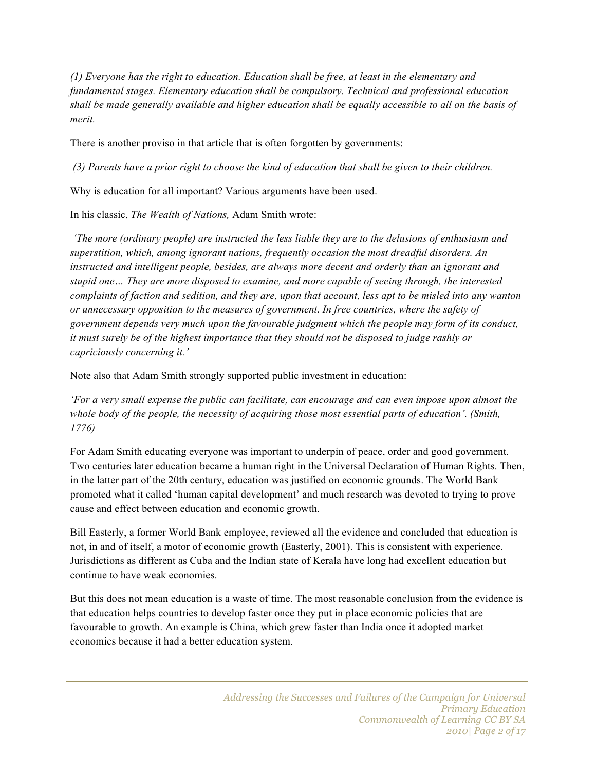*(1) Everyone has the right to education. Education shall be free, at least in the elementary and fundamental stages. Elementary education shall be compulsory. Technical and professional education shall be made generally available and higher education shall be equally accessible to all on the basis of merit.*

There is another proviso in that article that is often forgotten by governments:

*(3) Parents have a prior right to choose the kind of education that shall be given to their children.*

Why is education for all important? Various arguments have been used.

In his classic, *The Wealth of Nations,* Adam Smith wrote:

*'The more (ordinary people) are instructed the less liable they are to the delusions of enthusiasm and superstition, which, among ignorant nations, frequently occasion the most dreadful disorders. An instructed and intelligent people, besides, are always more decent and orderly than an ignorant and stupid one… They are more disposed to examine, and more capable of seeing through, the interested complaints of faction and sedition, and they are, upon that account, less apt to be misled into any wanton or unnecessary opposition to the measures of government. In free countries, where the safety of government depends very much upon the favourable judgment which the people may form of its conduct, it must surely be of the highest importance that they should not be disposed to judge rashly or capriciously concerning it.'*

Note also that Adam Smith strongly supported public investment in education:

*'For a very small expense the public can facilitate, can encourage and can even impose upon almost the whole body of the people, the necessity of acquiring those most essential parts of education'. (Smith, 1776)*

For Adam Smith educating everyone was important to underpin of peace, order and good government. Two centuries later education became a human right in the Universal Declaration of Human Rights. Then, in the latter part of the 20th century, education was justified on economic grounds. The World Bank promoted what it called 'human capital development' and much research was devoted to trying to prove cause and effect between education and economic growth.

Bill Easterly, a former World Bank employee, reviewed all the evidence and concluded that education is not, in and of itself, a motor of economic growth (Easterly, 2001). This is consistent with experience. Jurisdictions as different as Cuba and the Indian state of Kerala have long had excellent education but continue to have weak economies.

But this does not mean education is a waste of time. The most reasonable conclusion from the evidence is that education helps countries to develop faster once they put in place economic policies that are favourable to growth. An example is China, which grew faster than India once it adopted market economics because it had a better education system.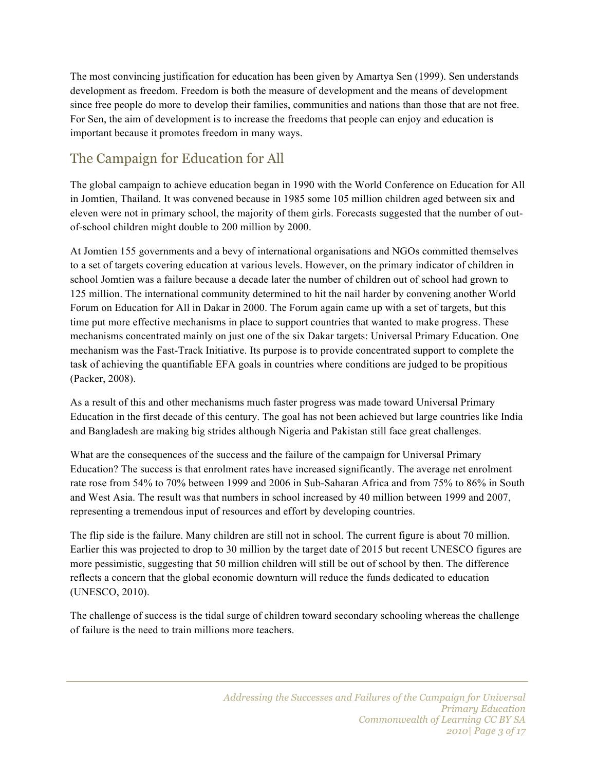The most convincing justification for education has been given by Amartya Sen (1999). Sen understands development as freedom. Freedom is both the measure of development and the means of development since free people do more to develop their families, communities and nations than those that are not free. For Sen, the aim of development is to increase the freedoms that people can enjoy and education is important because it promotes freedom in many ways.

## The Campaign for Education for All

The global campaign to achieve education began in 1990 with the World Conference on Education for All in Jomtien, Thailand. It was convened because in 1985 some 105 million children aged between six and eleven were not in primary school, the majority of them girls. Forecasts suggested that the number of outof-school children might double to 200 million by 2000.

At Jomtien 155 governments and a bevy of international organisations and NGOs committed themselves to a set of targets covering education at various levels. However, on the primary indicator of children in school Jomtien was a failure because a decade later the number of children out of school had grown to 125 million. The international community determined to hit the nail harder by convening another World Forum on Education for All in Dakar in 2000. The Forum again came up with a set of targets, but this time put more effective mechanisms in place to support countries that wanted to make progress. These mechanisms concentrated mainly on just one of the six Dakar targets: Universal Primary Education. One mechanism was the Fast-Track Initiative. Its purpose is to provide concentrated support to complete the task of achieving the quantifiable EFA goals in countries where conditions are judged to be propitious (Packer, 2008).

As a result of this and other mechanisms much faster progress was made toward Universal Primary Education in the first decade of this century. The goal has not been achieved but large countries like India and Bangladesh are making big strides although Nigeria and Pakistan still face great challenges.

What are the consequences of the success and the failure of the campaign for Universal Primary Education? The success is that enrolment rates have increased significantly. The average net enrolment rate rose from 54% to 70% between 1999 and 2006 in Sub-Saharan Africa and from 75% to 86% in South and West Asia. The result was that numbers in school increased by 40 million between 1999 and 2007, representing a tremendous input of resources and effort by developing countries.

The flip side is the failure. Many children are still not in school. The current figure is about 70 million. Earlier this was projected to drop to 30 million by the target date of 2015 but recent UNESCO figures are more pessimistic, suggesting that 50 million children will still be out of school by then. The difference reflects a concern that the global economic downturn will reduce the funds dedicated to education (UNESCO, 2010).

The challenge of success is the tidal surge of children toward secondary schooling whereas the challenge of failure is the need to train millions more teachers.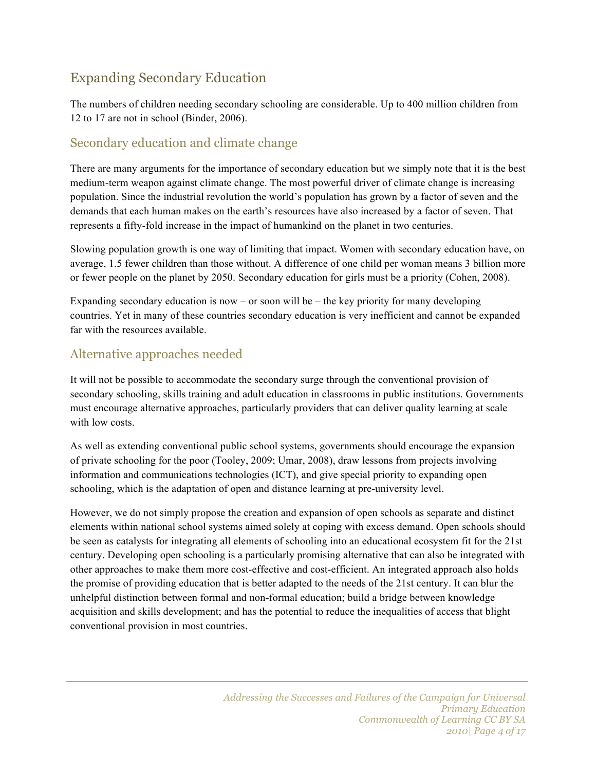# Expanding Secondary Education

The numbers of children needing secondary schooling are considerable. Up to 400 million children from 12 to 17 are not in school (Binder, 2006).

#### Secondary education and climate change

There are many arguments for the importance of secondary education but we simply note that it is the best medium-term weapon against climate change. The most powerful driver of climate change is increasing population. Since the industrial revolution the world's population has grown by a factor of seven and the demands that each human makes on the earth's resources have also increased by a factor of seven. That represents a fifty-fold increase in the impact of humankind on the planet in two centuries.

Slowing population growth is one way of limiting that impact. Women with secondary education have, on average, 1.5 fewer children than those without. A difference of one child per woman means 3 billion more or fewer people on the planet by 2050. Secondary education for girls must be a priority (Cohen, 2008).

Expanding secondary education is now – or soon will be – the key priority for many developing countries. Yet in many of these countries secondary education is very inefficient and cannot be expanded far with the resources available.

#### Alternative approaches needed

It will not be possible to accommodate the secondary surge through the conventional provision of secondary schooling, skills training and adult education in classrooms in public institutions. Governments must encourage alternative approaches, particularly providers that can deliver quality learning at scale with low costs.

As well as extending conventional public school systems, governments should encourage the expansion of private schooling for the poor (Tooley, 2009; Umar, 2008), draw lessons from projects involving information and communications technologies (ICT), and give special priority to expanding open schooling, which is the adaptation of open and distance learning at pre-university level.

However, we do not simply propose the creation and expansion of open schools as separate and distinct elements within national school systems aimed solely at coping with excess demand. Open schools should be seen as catalysts for integrating all elements of schooling into an educational ecosystem fit for the 21st century. Developing open schooling is a particularly promising alternative that can also be integrated with other approaches to make them more cost-effective and cost-efficient. An integrated approach also holds the promise of providing education that is better adapted to the needs of the 21st century. It can blur the unhelpful distinction between formal and non-formal education; build a bridge between knowledge acquisition and skills development; and has the potential to reduce the inequalities of access that blight conventional provision in most countries.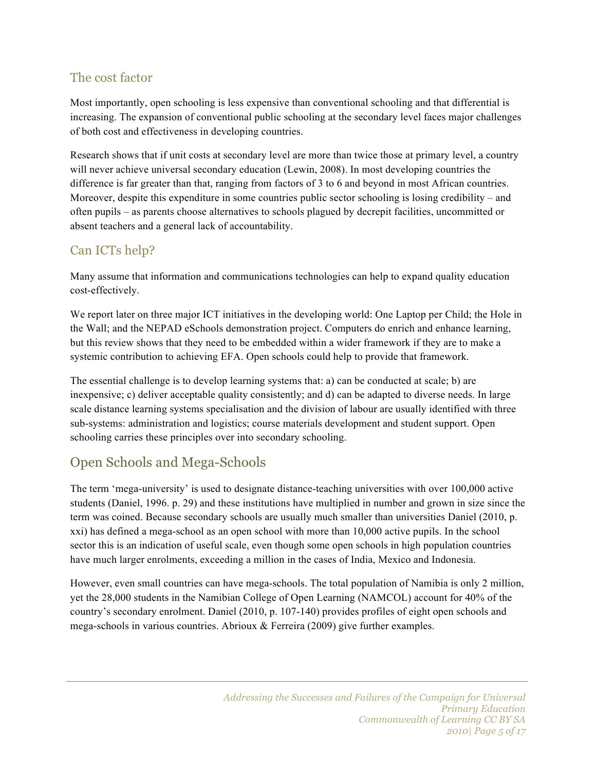#### The cost factor

Most importantly, open schooling is less expensive than conventional schooling and that differential is increasing. The expansion of conventional public schooling at the secondary level faces major challenges of both cost and effectiveness in developing countries.

Research shows that if unit costs at secondary level are more than twice those at primary level, a country will never achieve universal secondary education (Lewin, 2008). In most developing countries the difference is far greater than that, ranging from factors of 3 to 6 and beyond in most African countries. Moreover, despite this expenditure in some countries public sector schooling is losing credibility – and often pupils – as parents choose alternatives to schools plagued by decrepit facilities, uncommitted or absent teachers and a general lack of accountability.

### Can ICTs help?

Many assume that information and communications technologies can help to expand quality education cost-effectively.

We report later on three major ICT initiatives in the developing world: One Laptop per Child; the Hole in the Wall; and the NEPAD eSchools demonstration project. Computers do enrich and enhance learning, but this review shows that they need to be embedded within a wider framework if they are to make a systemic contribution to achieving EFA. Open schools could help to provide that framework.

The essential challenge is to develop learning systems that: a) can be conducted at scale; b) are inexpensive; c) deliver acceptable quality consistently; and d) can be adapted to diverse needs. In large scale distance learning systems specialisation and the division of labour are usually identified with three sub-systems: administration and logistics; course materials development and student support. Open schooling carries these principles over into secondary schooling.

# Open Schools and Mega-Schools

The term 'mega-university' is used to designate distance-teaching universities with over 100,000 active students (Daniel, 1996. p. 29) and these institutions have multiplied in number and grown in size since the term was coined. Because secondary schools are usually much smaller than universities Daniel (2010, p. xxi) has defined a mega-school as an open school with more than 10,000 active pupils. In the school sector this is an indication of useful scale, even though some open schools in high population countries have much larger enrolments, exceeding a million in the cases of India, Mexico and Indonesia.

However, even small countries can have mega-schools. The total population of Namibia is only 2 million, yet the 28,000 students in the Namibian College of Open Learning (NAMCOL) account for 40% of the country's secondary enrolment. Daniel (2010, p. 107-140) provides profiles of eight open schools and mega-schools in various countries. Abrioux & Ferreira (2009) give further examples.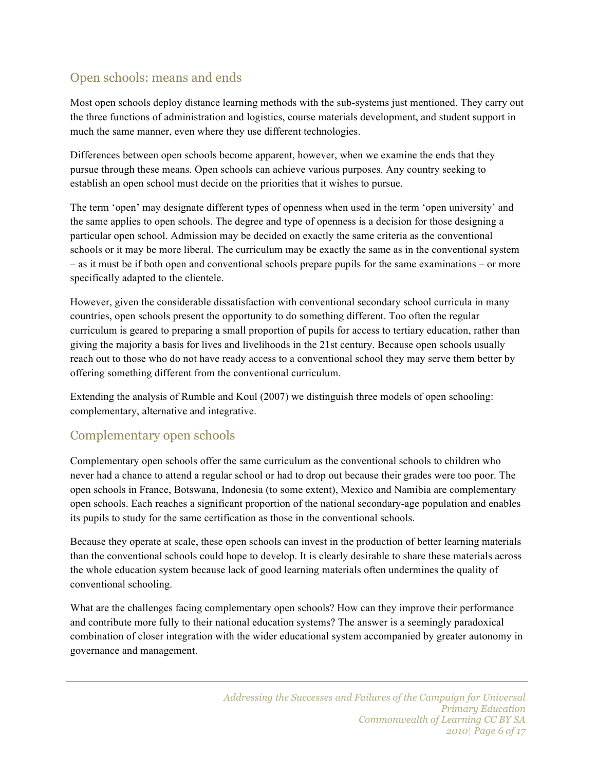### Open schools: means and ends

Most open schools deploy distance learning methods with the sub-systems just mentioned. They carry out the three functions of administration and logistics, course materials development, and student support in much the same manner, even where they use different technologies.

Differences between open schools become apparent, however, when we examine the ends that they pursue through these means. Open schools can achieve various purposes. Any country seeking to establish an open school must decide on the priorities that it wishes to pursue.

The term 'open' may designate different types of openness when used in the term 'open university' and the same applies to open schools. The degree and type of openness is a decision for those designing a particular open school. Admission may be decided on exactly the same criteria as the conventional schools or it may be more liberal. The curriculum may be exactly the same as in the conventional system – as it must be if both open and conventional schools prepare pupils for the same examinations – or more specifically adapted to the clientele.

However, given the considerable dissatisfaction with conventional secondary school curricula in many countries, open schools present the opportunity to do something different. Too often the regular curriculum is geared to preparing a small proportion of pupils for access to tertiary education, rather than giving the majority a basis for lives and livelihoods in the 21st century. Because open schools usually reach out to those who do not have ready access to a conventional school they may serve them better by offering something different from the conventional curriculum.

Extending the analysis of Rumble and Koul (2007) we distinguish three models of open schooling: complementary, alternative and integrative.

### Complementary open schools

Complementary open schools offer the same curriculum as the conventional schools to children who never had a chance to attend a regular school or had to drop out because their grades were too poor. The open schools in France, Botswana, Indonesia (to some extent), Mexico and Namibia are complementary open schools. Each reaches a significant proportion of the national secondary-age population and enables its pupils to study for the same certification as those in the conventional schools.

Because they operate at scale, these open schools can invest in the production of better learning materials than the conventional schools could hope to develop. It is clearly desirable to share these materials across the whole education system because lack of good learning materials often undermines the quality of conventional schooling.

What are the challenges facing complementary open schools? How can they improve their performance and contribute more fully to their national education systems? The answer is a seemingly paradoxical combination of closer integration with the wider educational system accompanied by greater autonomy in governance and management.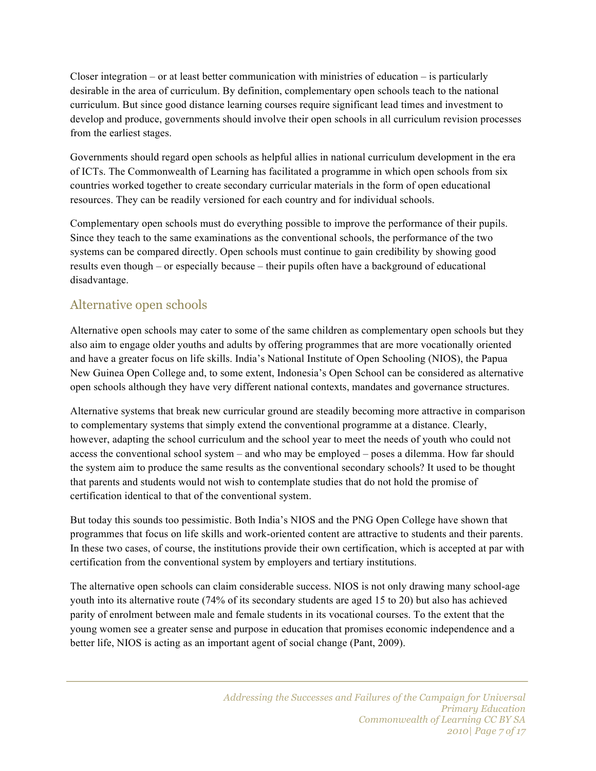Closer integration – or at least better communication with ministries of education – is particularly desirable in the area of curriculum. By definition, complementary open schools teach to the national curriculum. But since good distance learning courses require significant lead times and investment to develop and produce, governments should involve their open schools in all curriculum revision processes from the earliest stages.

Governments should regard open schools as helpful allies in national curriculum development in the era of ICTs. The Commonwealth of Learning has facilitated a programme in which open schools from six countries worked together to create secondary curricular materials in the form of open educational resources. They can be readily versioned for each country and for individual schools.

Complementary open schools must do everything possible to improve the performance of their pupils. Since they teach to the same examinations as the conventional schools, the performance of the two systems can be compared directly. Open schools must continue to gain credibility by showing good results even though – or especially because – their pupils often have a background of educational disadvantage.

#### Alternative open schools

Alternative open schools may cater to some of the same children as complementary open schools but they also aim to engage older youths and adults by offering programmes that are more vocationally oriented and have a greater focus on life skills. India's National Institute of Open Schooling (NIOS), the Papua New Guinea Open College and, to some extent, Indonesia's Open School can be considered as alternative open schools although they have very different national contexts, mandates and governance structures.

Alternative systems that break new curricular ground are steadily becoming more attractive in comparison to complementary systems that simply extend the conventional programme at a distance. Clearly, however, adapting the school curriculum and the school year to meet the needs of youth who could not access the conventional school system – and who may be employed – poses a dilemma. How far should the system aim to produce the same results as the conventional secondary schools? It used to be thought that parents and students would not wish to contemplate studies that do not hold the promise of certification identical to that of the conventional system.

But today this sounds too pessimistic. Both India's NIOS and the PNG Open College have shown that programmes that focus on life skills and work-oriented content are attractive to students and their parents. In these two cases, of course, the institutions provide their own certification, which is accepted at par with certification from the conventional system by employers and tertiary institutions.

The alternative open schools can claim considerable success. NIOS is not only drawing many school-age youth into its alternative route (74% of its secondary students are aged 15 to 20) but also has achieved parity of enrolment between male and female students in its vocational courses. To the extent that the young women see a greater sense and purpose in education that promises economic independence and a better life, NIOS is acting as an important agent of social change (Pant, 2009).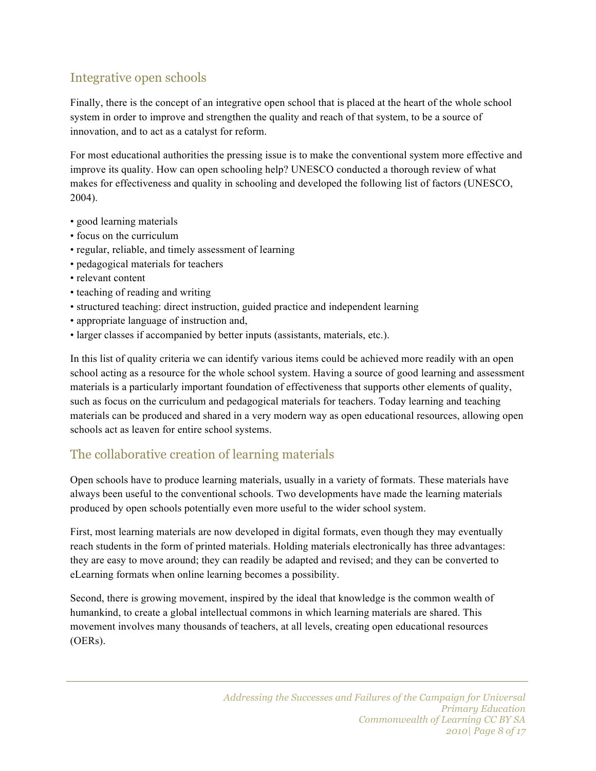### Integrative open schools

Finally, there is the concept of an integrative open school that is placed at the heart of the whole school system in order to improve and strengthen the quality and reach of that system, to be a source of innovation, and to act as a catalyst for reform.

For most educational authorities the pressing issue is to make the conventional system more effective and improve its quality. How can open schooling help? UNESCO conducted a thorough review of what makes for effectiveness and quality in schooling and developed the following list of factors (UNESCO, 2004).

- good learning materials
- focus on the curriculum
- regular, reliable, and timely assessment of learning
- pedagogical materials for teachers
- relevant content
- teaching of reading and writing
- structured teaching: direct instruction, guided practice and independent learning
- appropriate language of instruction and,
- larger classes if accompanied by better inputs (assistants, materials, etc.).

In this list of quality criteria we can identify various items could be achieved more readily with an open school acting as a resource for the whole school system. Having a source of good learning and assessment materials is a particularly important foundation of effectiveness that supports other elements of quality, such as focus on the curriculum and pedagogical materials for teachers. Today learning and teaching materials can be produced and shared in a very modern way as open educational resources, allowing open schools act as leaven for entire school systems.

### The collaborative creation of learning materials

Open schools have to produce learning materials, usually in a variety of formats. These materials have always been useful to the conventional schools. Two developments have made the learning materials produced by open schools potentially even more useful to the wider school system.

First, most learning materials are now developed in digital formats, even though they may eventually reach students in the form of printed materials. Holding materials electronically has three advantages: they are easy to move around; they can readily be adapted and revised; and they can be converted to eLearning formats when online learning becomes a possibility.

Second, there is growing movement, inspired by the ideal that knowledge is the common wealth of humankind, to create a global intellectual commons in which learning materials are shared. This movement involves many thousands of teachers, at all levels, creating open educational resources (OERs).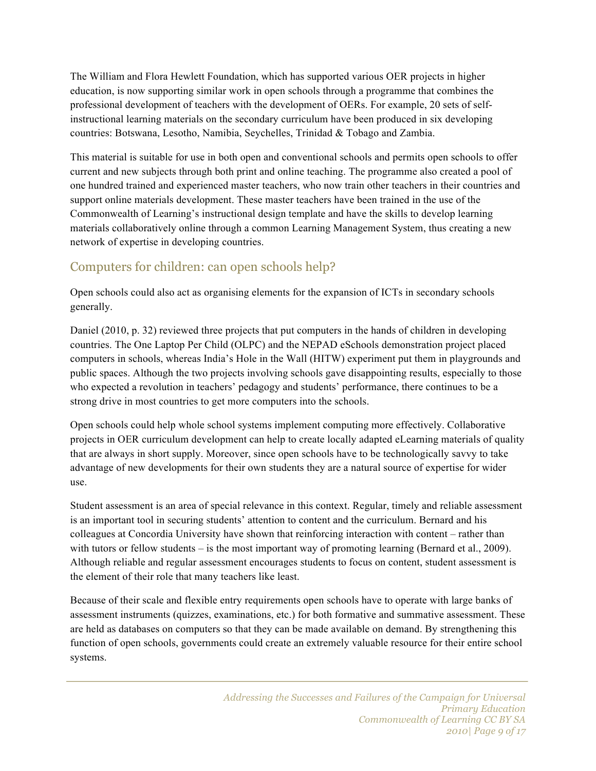The William and Flora Hewlett Foundation, which has supported various OER projects in higher education, is now supporting similar work in open schools through a programme that combines the professional development of teachers with the development of OERs. For example, 20 sets of selfinstructional learning materials on the secondary curriculum have been produced in six developing countries: Botswana, Lesotho, Namibia, Seychelles, Trinidad & Tobago and Zambia.

This material is suitable for use in both open and conventional schools and permits open schools to offer current and new subjects through both print and online teaching. The programme also created a pool of one hundred trained and experienced master teachers, who now train other teachers in their countries and support online materials development. These master teachers have been trained in the use of the Commonwealth of Learning's instructional design template and have the skills to develop learning materials collaboratively online through a common Learning Management System, thus creating a new network of expertise in developing countries.

### Computers for children: can open schools help?

Open schools could also act as organising elements for the expansion of ICTs in secondary schools generally.

Daniel (2010, p. 32) reviewed three projects that put computers in the hands of children in developing countries. The One Laptop Per Child (OLPC) and the NEPAD eSchools demonstration project placed computers in schools, whereas India's Hole in the Wall (HITW) experiment put them in playgrounds and public spaces. Although the two projects involving schools gave disappointing results, especially to those who expected a revolution in teachers' pedagogy and students' performance, there continues to be a strong drive in most countries to get more computers into the schools.

Open schools could help whole school systems implement computing more effectively. Collaborative projects in OER curriculum development can help to create locally adapted eLearning materials of quality that are always in short supply. Moreover, since open schools have to be technologically savvy to take advantage of new developments for their own students they are a natural source of expertise for wider use.

Student assessment is an area of special relevance in this context. Regular, timely and reliable assessment is an important tool in securing students' attention to content and the curriculum. Bernard and his colleagues at Concordia University have shown that reinforcing interaction with content – rather than with tutors or fellow students – is the most important way of promoting learning (Bernard et al., 2009). Although reliable and regular assessment encourages students to focus on content, student assessment is the element of their role that many teachers like least.

Because of their scale and flexible entry requirements open schools have to operate with large banks of assessment instruments (quizzes, examinations, etc.) for both formative and summative assessment. These are held as databases on computers so that they can be made available on demand. By strengthening this function of open schools, governments could create an extremely valuable resource for their entire school systems.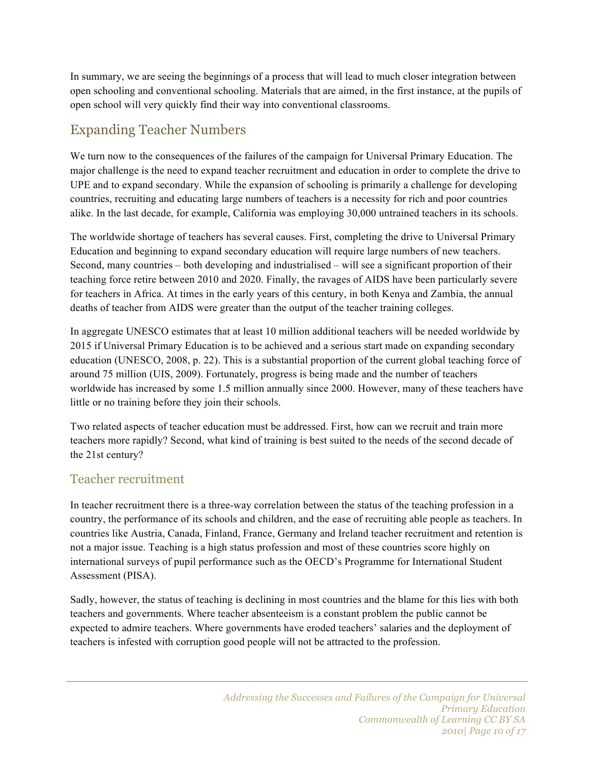In summary, we are seeing the beginnings of a process that will lead to much closer integration between open schooling and conventional schooling. Materials that are aimed, in the first instance, at the pupils of open school will very quickly find their way into conventional classrooms.

# Expanding Teacher Numbers

We turn now to the consequences of the failures of the campaign for Universal Primary Education. The major challenge is the need to expand teacher recruitment and education in order to complete the drive to UPE and to expand secondary. While the expansion of schooling is primarily a challenge for developing countries, recruiting and educating large numbers of teachers is a necessity for rich and poor countries alike. In the last decade, for example, California was employing 30,000 untrained teachers in its schools.

The worldwide shortage of teachers has several causes. First, completing the drive to Universal Primary Education and beginning to expand secondary education will require large numbers of new teachers. Second, many countries – both developing and industrialised – will see a significant proportion of their teaching force retire between 2010 and 2020. Finally, the ravages of AIDS have been particularly severe for teachers in Africa. At times in the early years of this century, in both Kenya and Zambia, the annual deaths of teacher from AIDS were greater than the output of the teacher training colleges.

In aggregate UNESCO estimates that at least 10 million additional teachers will be needed worldwide by 2015 if Universal Primary Education is to be achieved and a serious start made on expanding secondary education (UNESCO, 2008, p. 22). This is a substantial proportion of the current global teaching force of around 75 million (UIS, 2009). Fortunately, progress is being made and the number of teachers worldwide has increased by some 1.5 million annually since 2000. However, many of these teachers have little or no training before they join their schools.

Two related aspects of teacher education must be addressed. First, how can we recruit and train more teachers more rapidly? Second, what kind of training is best suited to the needs of the second decade of the 21st century?

### Teacher recruitment

In teacher recruitment there is a three-way correlation between the status of the teaching profession in a country, the performance of its schools and children, and the ease of recruiting able people as teachers. In countries like Austria, Canada, Finland, France, Germany and Ireland teacher recruitment and retention is not a major issue. Teaching is a high status profession and most of these countries score highly on international surveys of pupil performance such as the OECD's Programme for International Student Assessment (PISA).

Sadly, however, the status of teaching is declining in most countries and the blame for this lies with both teachers and governments. Where teacher absenteeism is a constant problem the public cannot be expected to admire teachers. Where governments have eroded teachers' salaries and the deployment of teachers is infested with corruption good people will not be attracted to the profession.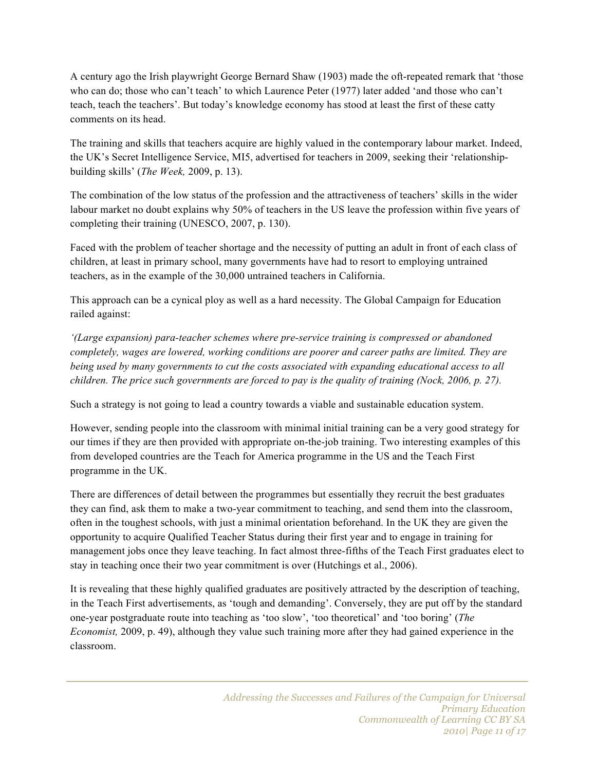A century ago the Irish playwright George Bernard Shaw (1903) made the oft-repeated remark that 'those who can do; those who can't teach' to which Laurence Peter (1977) later added 'and those who can't teach, teach the teachers'. But today's knowledge economy has stood at least the first of these catty comments on its head.

The training and skills that teachers acquire are highly valued in the contemporary labour market. Indeed, the UK's Secret Intelligence Service, MI5, advertised for teachers in 2009, seeking their 'relationshipbuilding skills' (*The Week,* 2009, p. 13).

The combination of the low status of the profession and the attractiveness of teachers' skills in the wider labour market no doubt explains why 50% of teachers in the US leave the profession within five years of completing their training (UNESCO, 2007, p. 130).

Faced with the problem of teacher shortage and the necessity of putting an adult in front of each class of children, at least in primary school, many governments have had to resort to employing untrained teachers, as in the example of the 30,000 untrained teachers in California.

This approach can be a cynical ploy as well as a hard necessity. The Global Campaign for Education railed against:

*'(Large expansion) para-teacher schemes where pre-service training is compressed or abandoned completely, wages are lowered, working conditions are poorer and career paths are limited. They are being used by many governments to cut the costs associated with expanding educational access to all children. The price such governments are forced to pay is the quality of training (Nock, 2006, p. 27).*

Such a strategy is not going to lead a country towards a viable and sustainable education system.

However, sending people into the classroom with minimal initial training can be a very good strategy for our times if they are then provided with appropriate on-the-job training. Two interesting examples of this from developed countries are the Teach for America programme in the US and the Teach First programme in the UK.

There are differences of detail between the programmes but essentially they recruit the best graduates they can find, ask them to make a two-year commitment to teaching, and send them into the classroom, often in the toughest schools, with just a minimal orientation beforehand. In the UK they are given the opportunity to acquire Qualified Teacher Status during their first year and to engage in training for management jobs once they leave teaching. In fact almost three-fifths of the Teach First graduates elect to stay in teaching once their two year commitment is over (Hutchings et al., 2006).

It is revealing that these highly qualified graduates are positively attracted by the description of teaching, in the Teach First advertisements, as 'tough and demanding'. Conversely, they are put off by the standard one-year postgraduate route into teaching as 'too slow', 'too theoretical' and 'too boring' (*The Economist,* 2009, p. 49), although they value such training more after they had gained experience in the classroom.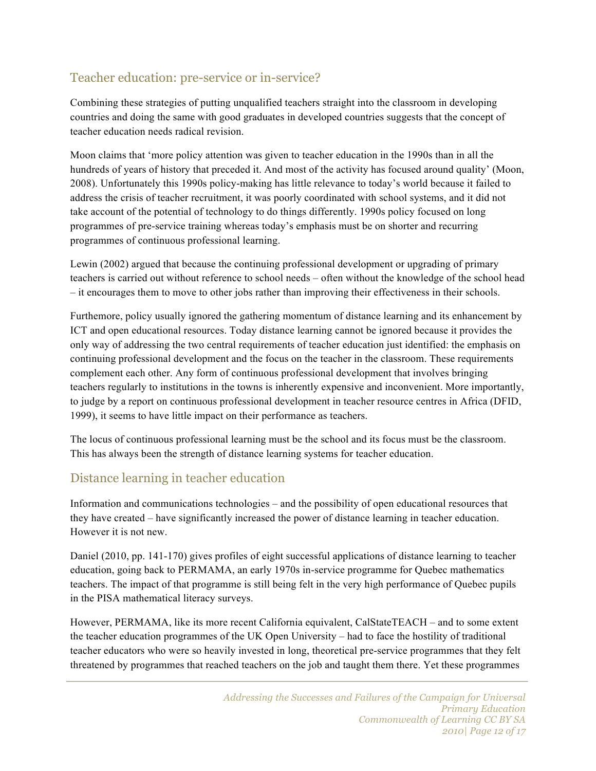### Teacher education: pre-service or in-service?

Combining these strategies of putting unqualified teachers straight into the classroom in developing countries and doing the same with good graduates in developed countries suggests that the concept of teacher education needs radical revision.

Moon claims that 'more policy attention was given to teacher education in the 1990s than in all the hundreds of years of history that preceded it. And most of the activity has focused around quality' (Moon, 2008). Unfortunately this 1990s policy-making has little relevance to today's world because it failed to address the crisis of teacher recruitment, it was poorly coordinated with school systems, and it did not take account of the potential of technology to do things differently. 1990s policy focused on long programmes of pre-service training whereas today's emphasis must be on shorter and recurring programmes of continuous professional learning.

Lewin (2002) argued that because the continuing professional development or upgrading of primary teachers is carried out without reference to school needs – often without the knowledge of the school head – it encourages them to move to other jobs rather than improving their effectiveness in their schools.

Furthemore, policy usually ignored the gathering momentum of distance learning and its enhancement by ICT and open educational resources. Today distance learning cannot be ignored because it provides the only way of addressing the two central requirements of teacher education just identified: the emphasis on continuing professional development and the focus on the teacher in the classroom. These requirements complement each other. Any form of continuous professional development that involves bringing teachers regularly to institutions in the towns is inherently expensive and inconvenient. More importantly, to judge by a report on continuous professional development in teacher resource centres in Africa (DFID, 1999), it seems to have little impact on their performance as teachers.

The locus of continuous professional learning must be the school and its focus must be the classroom. This has always been the strength of distance learning systems for teacher education.

### Distance learning in teacher education

Information and communications technologies – and the possibility of open educational resources that they have created – have significantly increased the power of distance learning in teacher education. However it is not new.

Daniel (2010, pp. 141-170) gives profiles of eight successful applications of distance learning to teacher education, going back to PERMAMA, an early 1970s in-service programme for Quebec mathematics teachers. The impact of that programme is still being felt in the very high performance of Quebec pupils in the PISA mathematical literacy surveys.

However, PERMAMA, like its more recent California equivalent, CalStateTEACH – and to some extent the teacher education programmes of the UK Open University – had to face the hostility of traditional teacher educators who were so heavily invested in long, theoretical pre-service programmes that they felt threatened by programmes that reached teachers on the job and taught them there. Yet these programmes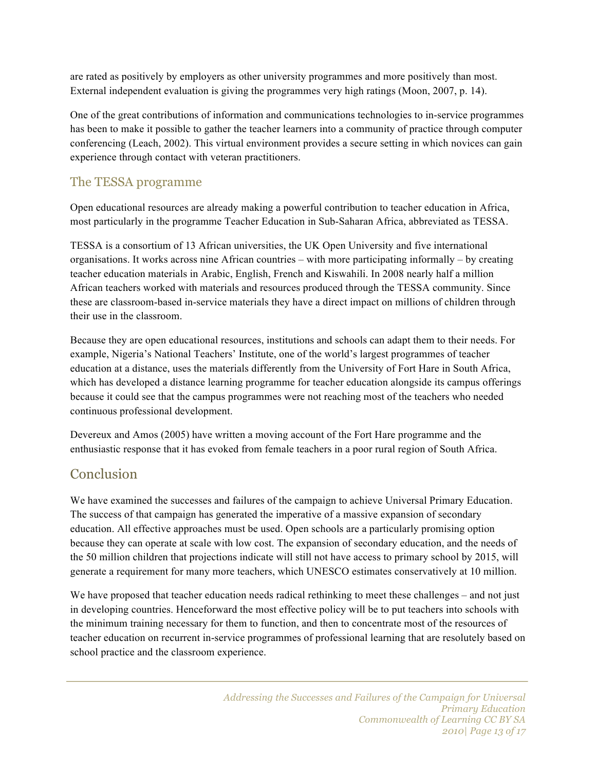are rated as positively by employers as other university programmes and more positively than most. External independent evaluation is giving the programmes very high ratings (Moon, 2007, p. 14).

One of the great contributions of information and communications technologies to in-service programmes has been to make it possible to gather the teacher learners into a community of practice through computer conferencing (Leach, 2002). This virtual environment provides a secure setting in which novices can gain experience through contact with veteran practitioners.

#### The TESSA programme

Open educational resources are already making a powerful contribution to teacher education in Africa, most particularly in the programme Teacher Education in Sub-Saharan Africa, abbreviated as TESSA.

TESSA is a consortium of 13 African universities, the UK Open University and five international organisations. It works across nine African countries – with more participating informally – by creating teacher education materials in Arabic, English, French and Kiswahili. In 2008 nearly half a million African teachers worked with materials and resources produced through the TESSA community. Since these are classroom-based in-service materials they have a direct impact on millions of children through their use in the classroom.

Because they are open educational resources, institutions and schools can adapt them to their needs. For example, Nigeria's National Teachers' Institute, one of the world's largest programmes of teacher education at a distance, uses the materials differently from the University of Fort Hare in South Africa, which has developed a distance learning programme for teacher education alongside its campus offerings because it could see that the campus programmes were not reaching most of the teachers who needed continuous professional development.

Devereux and Amos (2005) have written a moving account of the Fort Hare programme and the enthusiastic response that it has evoked from female teachers in a poor rural region of South Africa.

# Conclusion

We have examined the successes and failures of the campaign to achieve Universal Primary Education. The success of that campaign has generated the imperative of a massive expansion of secondary education. All effective approaches must be used. Open schools are a particularly promising option because they can operate at scale with low cost. The expansion of secondary education, and the needs of the 50 million children that projections indicate will still not have access to primary school by 2015, will generate a requirement for many more teachers, which UNESCO estimates conservatively at 10 million.

We have proposed that teacher education needs radical rethinking to meet these challenges – and not just in developing countries. Henceforward the most effective policy will be to put teachers into schools with the minimum training necessary for them to function, and then to concentrate most of the resources of teacher education on recurrent in-service programmes of professional learning that are resolutely based on school practice and the classroom experience.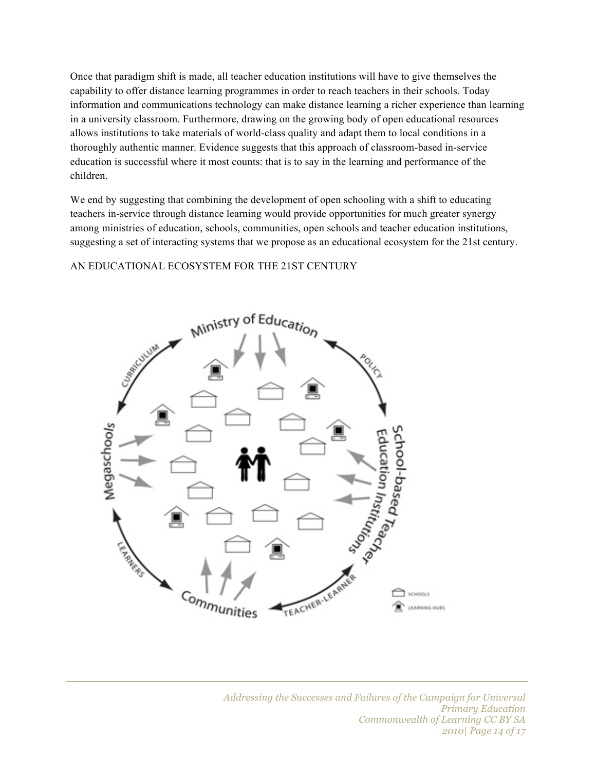Once that paradigm shift is made, all teacher education institutions will have to give themselves the capability to offer distance learning programmes in order to reach teachers in their schools. Today information and communications technology can make distance learning a richer experience than learning in a university classroom. Furthermore, drawing on the growing body of open educational resources allows institutions to take materials of world-class quality and adapt them to local conditions in a thoroughly authentic manner. Evidence suggests that this approach of classroom-based in-service education is successful where it most counts: that is to say in the learning and performance of the children.

We end by suggesting that combining the development of open schooling with a shift to educating teachers in-service through distance learning would provide opportunities for much greater synergy among ministries of education, schools, communities, open schools and teacher education institutions, suggesting a set of interacting systems that we propose as an educational ecosystem for the 21st century.

#### AN EDUCATIONAL ECOSYSTEM FOR THE 21ST CENTURY

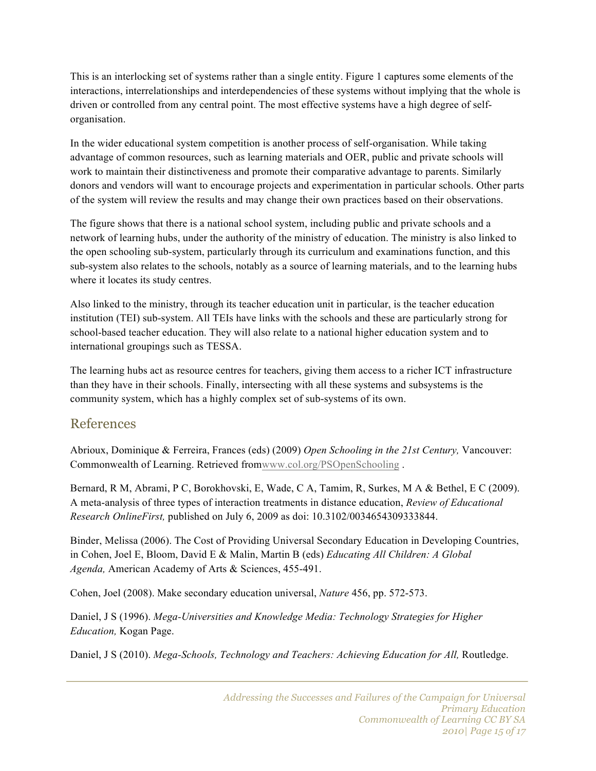This is an interlocking set of systems rather than a single entity. Figure 1 captures some elements of the interactions, interrelationships and interdependencies of these systems without implying that the whole is driven or controlled from any central point. The most effective systems have a high degree of selforganisation.

In the wider educational system competition is another process of self-organisation. While taking advantage of common resources, such as learning materials and OER, public and private schools will work to maintain their distinctiveness and promote their comparative advantage to parents. Similarly donors and vendors will want to encourage projects and experimentation in particular schools. Other parts of the system will review the results and may change their own practices based on their observations.

The figure shows that there is a national school system, including public and private schools and a network of learning hubs, under the authority of the ministry of education. The ministry is also linked to the open schooling sub-system, particularly through its curriculum and examinations function, and this sub-system also relates to the schools, notably as a source of learning materials, and to the learning hubs where it locates its study centres.

Also linked to the ministry, through its teacher education unit in particular, is the teacher education institution (TEI) sub-system. All TEIs have links with the schools and these are particularly strong for school-based teacher education. They will also relate to a national higher education system and to international groupings such as TESSA.

The learning hubs act as resource centres for teachers, giving them access to a richer ICT infrastructure than they have in their schools. Finally, intersecting with all these systems and subsystems is the community system, which has a highly complex set of sub-systems of its own.

#### References

Abrioux, Dominique & Ferreira, Frances (eds) (2009) *Open Schooling in the 21st Century,* Vancouver: Commonwealth of Learning. Retrieved fromwww.col.org/PSOpenSchooling .

Bernard, R M, Abrami, P C, Borokhovski, E, Wade, C A, Tamim, R, Surkes, M A & Bethel, E C (2009). A meta-analysis of three types of interaction treatments in distance education, *Review of Educational Research OnlineFirst,* published on July 6, 2009 as doi: 10.3102/0034654309333844.

Binder, Melissa (2006). The Cost of Providing Universal Secondary Education in Developing Countries, in Cohen, Joel E, Bloom, David E & Malin, Martin B (eds) *Educating All Children: A Global Agenda,* American Academy of Arts & Sciences, 455-491.

Cohen, Joel (2008). Make secondary education universal, *Nature* 456, pp. 572-573.

Daniel, J S (1996). *Mega-Universities and Knowledge Media: Technology Strategies for Higher Education,* Kogan Page.

Daniel, J S (2010). *Mega-Schools, Technology and Teachers: Achieving Education for All,* Routledge.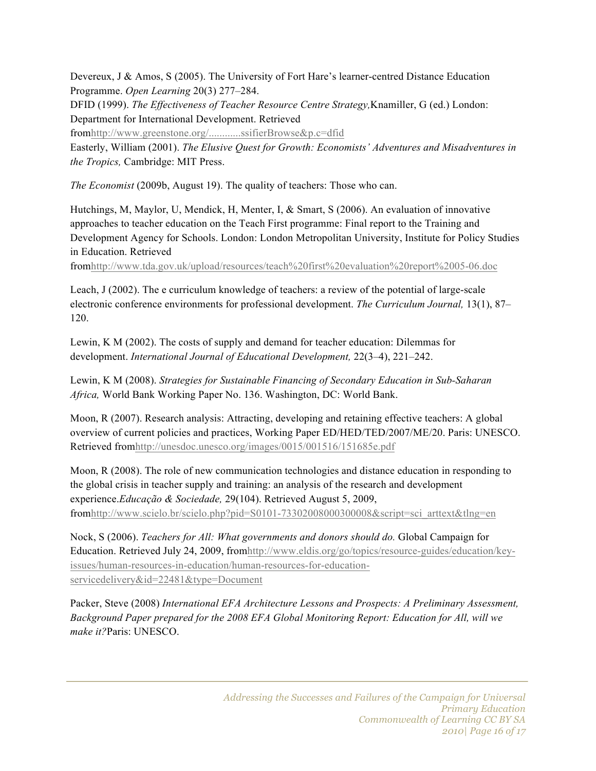Devereux, J & Amos, S (2005). The University of Fort Hare's learner-centred Distance Education Programme. *Open Learning* 20(3) 277–284.

DFID (1999). *The Effectiveness of Teacher Resource Centre Strategy,*Knamiller, G (ed.) London: Department for International Development. Retrieved

fromhttp://www.greenstone.org/............ssifierBrowse&p.c=dfid

Easterly, William (2001). *The Elusive Quest for Growth: Economists' Adventures and Misadventures in the Tropics,* Cambridge: MIT Press.

*The Economist* (2009b, August 19). The quality of teachers: Those who can.

Hutchings, M, Maylor, U, Mendick, H, Menter, I, & Smart, S (2006). An evaluation of innovative approaches to teacher education on the Teach First programme: Final report to the Training and Development Agency for Schools. London: London Metropolitan University, Institute for Policy Studies in Education. Retrieved

fromhttp://www.tda.gov.uk/upload/resources/teach%20first%20evaluation%20report%2005-06.doc

Leach, J (2002). The e curriculum knowledge of teachers: a review of the potential of large-scale electronic conference environments for professional development. *The Curriculum Journal,* 13(1), 87– 120.

Lewin, K M (2002). The costs of supply and demand for teacher education: Dilemmas for development. *International Journal of Educational Development,* 22(3–4), 221–242.

Lewin, K M (2008). *Strategies for Sustainable Financing of Secondary Education in Sub-Saharan Africa,* World Bank Working Paper No. 136. Washington, DC: World Bank.

Moon, R (2007). Research analysis: Attracting, developing and retaining effective teachers: A global overview of current policies and practices, Working Paper ED/HED/TED/2007/ME/20. Paris: UNESCO. Retrieved fromhttp://unesdoc.unesco.org/images/0015/001516/151685e.pdf

Moon, R (2008). The role of new communication technologies and distance education in responding to the global crisis in teacher supply and training: an analysis of the research and development experience.*Educação & Sociedade,* 29(104). Retrieved August 5, 2009, fromhttp://www.scielo.br/scielo.php?pid=S0101-73302008000300008&script=sci\_arttext&tlng=en

Nock, S (2006). *Teachers for All: What governments and donors should do.* Global Campaign for Education. Retrieved July 24, 2009, fromhttp://www.eldis.org/go/topics/resource-guides/education/keyissues/human-resources-in-education/human-resources-for-educationservicedelivery&id=22481&type=Document

Packer, Steve (2008) *International EFA Architecture Lessons and Prospects: A Preliminary Assessment, Background Paper prepared for the 2008 EFA Global Monitoring Report: Education for All, will we make it?*Paris: UNESCO.